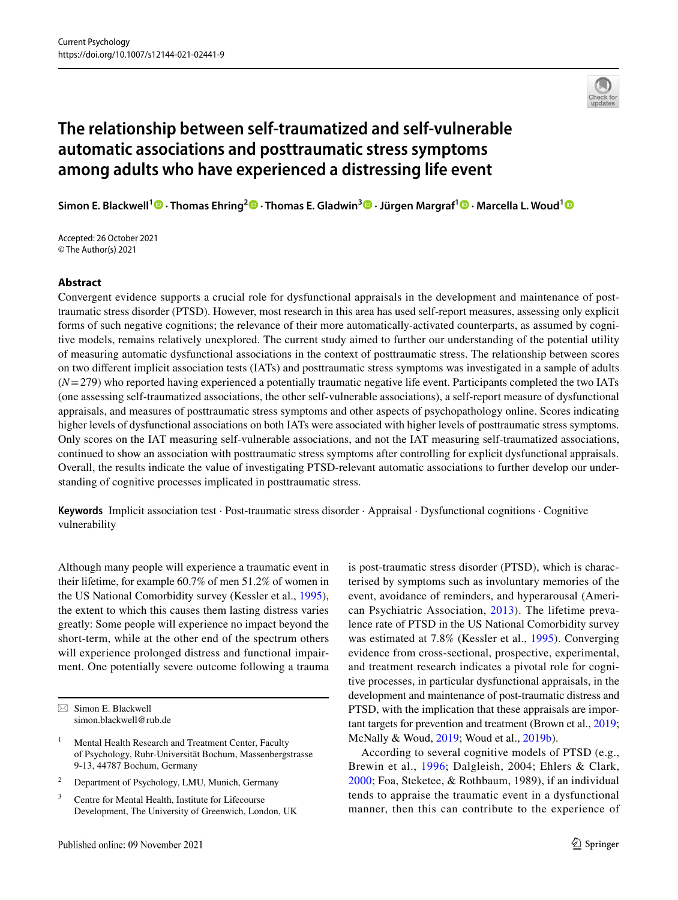

# **The relationship between self-traumatized and self-vulnerable automatic associations and posttraumatic stress symptoms among adults who have experienced a distressing life event**

**Simon E. Blackwell[1](http://orcid.org/0000-0002-3313-7084) · Thomas Ehring2  [·](https://orcid.org/0000-0001-9502-6868) Thomas E. Gladwin3 · Jürgen Margraf1 · Marcella L. Woud[1](https://orcid.org/0000-0002-4974-505X)**

Accepted: 26 October 2021 © The Author(s) 2021

#### **Abstract**

Convergent evidence supports a crucial role for dysfunctional appraisals in the development and maintenance of posttraumatic stress disorder (PTSD). However, most research in this area has used self-report measures, assessing only explicit forms of such negative cognitions; the relevance of their more automatically-activated counterparts, as assumed by cognitive models, remains relatively unexplored. The current study aimed to further our understanding of the potential utility of measuring automatic dysfunctional associations in the context of posttraumatic stress. The relationship between scores on two diferent implicit association tests (IATs) and posttraumatic stress symptoms was investigated in a sample of adults (*N*=279) who reported having experienced a potentially traumatic negative life event. Participants completed the two IATs (one assessing self-traumatized associations, the other self-vulnerable associations), a self-report measure of dysfunctional appraisals, and measures of posttraumatic stress symptoms and other aspects of psychopathology online. Scores indicating higher levels of dysfunctional associations on both IATs were associated with higher levels of posttraumatic stress symptoms. Only scores on the IAT measuring self-vulnerable associations, and not the IAT measuring self-traumatized associations, continued to show an association with posttraumatic stress symptoms after controlling for explicit dysfunctional appraisals. Overall, the results indicate the value of investigating PTSD-relevant automatic associations to further develop our understanding of cognitive processes implicated in posttraumatic stress.

**Keywords** Implicit association test · Post-traumatic stress disorder · Appraisal · Dysfunctional cognitions · Cognitive vulnerability

Although many people will experience a traumatic event in their lifetime, for example 60.7% of men 51.2% of women in the US National Comorbidity survey (Kessler et al., [1995](#page-10-0)), the extent to which this causes them lasting distress varies greatly: Some people will experience no impact beyond the short-term, while at the other end of the spectrum others will experience prolonged distress and functional impairment. One potentially severe outcome following a trauma

- <sup>2</sup> Department of Psychology, LMU, Munich, Germany
- <sup>3</sup> Centre for Mental Health, Institute for Lifecourse Development, The University of Greenwich, London, UK

is post-traumatic stress disorder (PTSD), which is characterised by symptoms such as involuntary memories of the event, avoidance of reminders, and hyperarousal (American Psychiatric Association, [2013\)](#page-9-0). The lifetime prevalence rate of PTSD in the US National Comorbidity survey was estimated at 7.8% (Kessler et al., [1995\)](#page-10-0). Converging evidence from cross-sectional, prospective, experimental, and treatment research indicates a pivotal role for cognitive processes, in particular dysfunctional appraisals, in the development and maintenance of post-traumatic distress and PTSD, with the implication that these appraisals are important targets for prevention and treatment (Brown et al., [2019](#page-9-1); McNally & Woud, [2019](#page-10-1); Woud et al., [2019b\)](#page-10-2).

According to several cognitive models of PTSD (e.g., Brewin et al., [1996](#page-9-2); Dalgleish, 2004; Ehlers & Clark, [2000;](#page-9-3) Foa, Steketee, & Rothbaum, 1989), if an individual tends to appraise the traumatic event in a dysfunctional manner, then this can contribute to the experience of

 $\boxtimes$  Simon E. Blackwell simon.blackwell@rub.de

<sup>&</sup>lt;sup>1</sup> Mental Health Research and Treatment Center, Faculty of Psychology, Ruhr-Universität Bochum, Massenbergstrasse 9-13, 44787 Bochum, Germany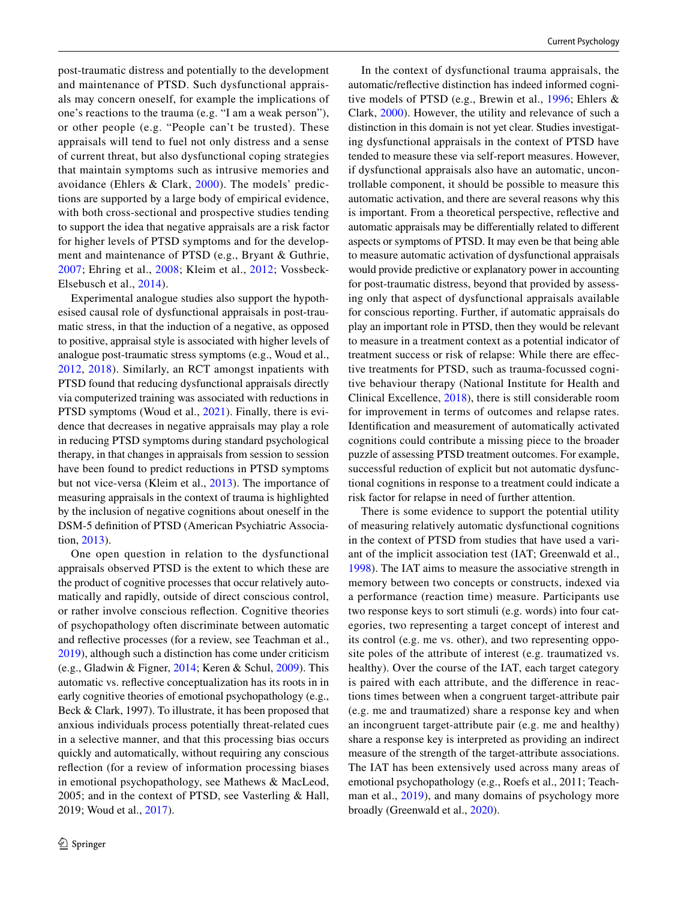post-traumatic distress and potentially to the development and maintenance of PTSD. Such dysfunctional appraisals may concern oneself, for example the implications of one's reactions to the trauma (e.g. "I am a weak person"), or other people (e.g. "People can't be trusted). These appraisals will tend to fuel not only distress and a sense of current threat, but also dysfunctional coping strategies that maintain symptoms such as intrusive memories and avoidance (Ehlers & Clark, [2000\)](#page-9-3). The models' predictions are supported by a large body of empirical evidence, with both cross-sectional and prospective studies tending to support the idea that negative appraisals are a risk factor for higher levels of PTSD symptoms and for the development and maintenance of PTSD (e.g., Bryant & Guthrie, [2007;](#page-9-4) Ehring et al., [2008;](#page-9-5) Kleim et al., [2012](#page-10-3); Vossbeck-Elsebusch et al., [2014](#page-10-4)).

Experimental analogue studies also support the hypothesised causal role of dysfunctional appraisals in post-traumatic stress, in that the induction of a negative, as opposed to positive, appraisal style is associated with higher levels of analogue post-traumatic stress symptoms (e.g., Woud et al., [2012,](#page-10-5) [2018\)](#page-10-6). Similarly, an RCT amongst inpatients with PTSD found that reducing dysfunctional appraisals directly via computerized training was associated with reductions in PTSD symptoms (Woud et al., [2021\)](#page-10-7). Finally, there is evidence that decreases in negative appraisals may play a role in reducing PTSD symptoms during standard psychological therapy, in that changes in appraisals from session to session have been found to predict reductions in PTSD symptoms but not vice-versa (Kleim et al., [2013](#page-10-8)). The importance of measuring appraisals in the context of trauma is highlighted by the inclusion of negative cognitions about oneself in the DSM-5 defnition of PTSD (American Psychiatric Association, [2013\)](#page-9-0).

One open question in relation to the dysfunctional appraisals observed PTSD is the extent to which these are the product of cognitive processes that occur relatively automatically and rapidly, outside of direct conscious control, or rather involve conscious refection. Cognitive theories of psychopathology often discriminate between automatic and refective processes (for a review, see Teachman et al., [2019](#page-10-9)), although such a distinction has come under criticism (e.g., Gladwin & Figner, [2014;](#page-9-6) Keren & Schul, [2009\)](#page-10-10). This automatic vs. refective conceptualization has its roots in in early cognitive theories of emotional psychopathology (e.g., Beck & Clark, 1997). To illustrate, it has been proposed that anxious individuals process potentially threat-related cues in a selective manner, and that this processing bias occurs quickly and automatically, without requiring any conscious refection (for a review of information processing biases in emotional psychopathology, see Mathews & MacLeod, 2005; and in the context of PTSD, see Vasterling & Hall, 2019; Woud et al., [2017\)](#page-10-11).

In the context of dysfunctional trauma appraisals, the automatic/refective distinction has indeed informed cognitive models of PTSD (e.g., Brewin et al., [1996](#page-9-2); Ehlers & Clark, [2000\)](#page-9-3). However, the utility and relevance of such a distinction in this domain is not yet clear. Studies investigating dysfunctional appraisals in the context of PTSD have tended to measure these via self-report measures. However, if dysfunctional appraisals also have an automatic, uncontrollable component, it should be possible to measure this automatic activation, and there are several reasons why this is important. From a theoretical perspective, refective and automatic appraisals may be diferentially related to diferent aspects or symptoms of PTSD. It may even be that being able to measure automatic activation of dysfunctional appraisals would provide predictive or explanatory power in accounting for post-traumatic distress, beyond that provided by assessing only that aspect of dysfunctional appraisals available for conscious reporting. Further, if automatic appraisals do play an important role in PTSD, then they would be relevant to measure in a treatment context as a potential indicator of treatment success or risk of relapse: While there are efective treatments for PTSD, such as trauma-focussed cognitive behaviour therapy (National Institute for Health and Clinical Excellence, [2018](#page-10-12)), there is still considerable room for improvement in terms of outcomes and relapse rates. Identifcation and measurement of automatically activated cognitions could contribute a missing piece to the broader puzzle of assessing PTSD treatment outcomes. For example, successful reduction of explicit but not automatic dysfunctional cognitions in response to a treatment could indicate a risk factor for relapse in need of further attention.

There is some evidence to support the potential utility of measuring relatively automatic dysfunctional cognitions in the context of PTSD from studies that have used a variant of the implicit association test (IAT; Greenwald et al., [1998](#page-10-13)). The IAT aims to measure the associative strength in memory between two concepts or constructs, indexed via a performance (reaction time) measure. Participants use two response keys to sort stimuli (e.g. words) into four categories, two representing a target concept of interest and its control (e.g. me vs. other), and two representing opposite poles of the attribute of interest (e.g. traumatized vs. healthy). Over the course of the IAT, each target category is paired with each attribute, and the diference in reactions times between when a congruent target-attribute pair (e.g. me and traumatized) share a response key and when an incongruent target-attribute pair (e.g. me and healthy) share a response key is interpreted as providing an indirect measure of the strength of the target-attribute associations. The IAT has been extensively used across many areas of emotional psychopathology (e.g., Roefs et al., 2011; Teachman et al., [2019\)](#page-10-9), and many domains of psychology more broadly (Greenwald et al., [2020](#page-10-14)).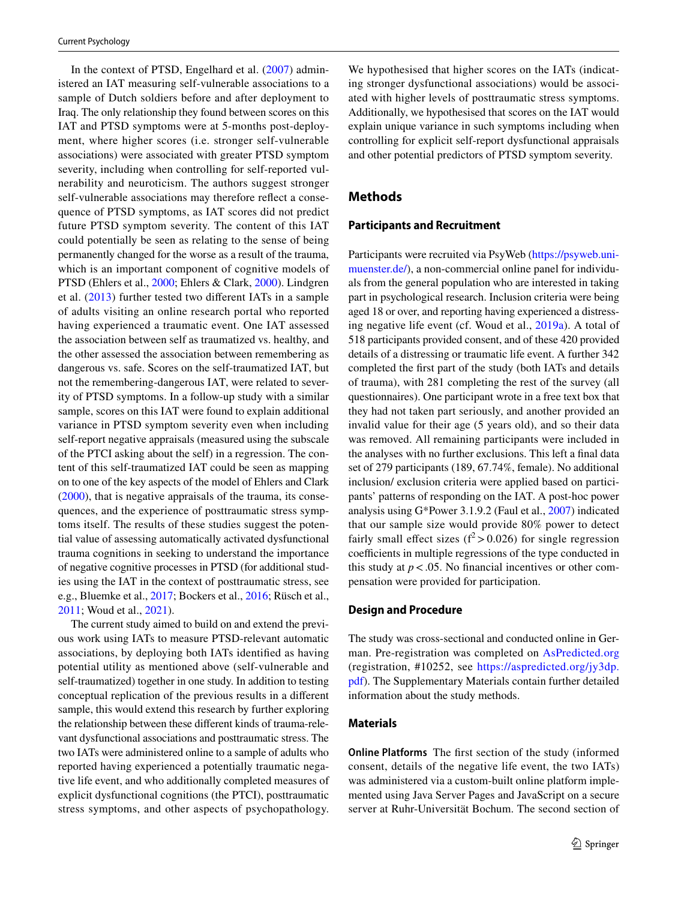In the context of PTSD, Engelhard et al. ([2007](#page-9-7)) administered an IAT measuring self-vulnerable associations to a sample of Dutch soldiers before and after deployment to Iraq. The only relationship they found between scores on this IAT and PTSD symptoms were at 5-months post-deployment, where higher scores (i.e. stronger self-vulnerable associations) were associated with greater PTSD symptom severity, including when controlling for self-reported vulnerability and neuroticism. The authors suggest stronger self-vulnerable associations may therefore refect a consequence of PTSD symptoms, as IAT scores did not predict future PTSD symptom severity. The content of this IAT could potentially be seen as relating to the sense of being permanently changed for the worse as a result of the trauma, which is an important component of cognitive models of PTSD (Ehlers et al., [2000](#page-9-8); Ehlers & Clark, [2000\)](#page-9-3). Lindgren et al. ([2013](#page-10-15)) further tested two diferent IATs in a sample of adults visiting an online research portal who reported having experienced a traumatic event. One IAT assessed the association between self as traumatized vs. healthy, and the other assessed the association between remembering as dangerous vs. safe. Scores on the self-traumatized IAT, but not the remembering-dangerous IAT, were related to severity of PTSD symptoms. In a follow-up study with a similar sample, scores on this IAT were found to explain additional variance in PTSD symptom severity even when including self-report negative appraisals (measured using the subscale of the PTCI asking about the self) in a regression. The content of this self-traumatized IAT could be seen as mapping on to one of the key aspects of the model of Ehlers and Clark [\(2000\)](#page-9-3), that is negative appraisals of the trauma, its consequences, and the experience of posttraumatic stress symptoms itself. The results of these studies suggest the potential value of assessing automatically activated dysfunctional trauma cognitions in seeking to understand the importance of negative cognitive processes in PTSD (for additional studies using the IAT in the context of posttraumatic stress, see e.g., Bluemke et al., [2017](#page-9-9); Bockers et al., [2016;](#page-9-10) Rüsch et al., [2011](#page-10-16); Woud et al., [2021\)](#page-10-7).

The current study aimed to build on and extend the previous work using IATs to measure PTSD-relevant automatic associations, by deploying both IATs identifed as having potential utility as mentioned above (self-vulnerable and self-traumatized) together in one study. In addition to testing conceptual replication of the previous results in a diferent sample, this would extend this research by further exploring the relationship between these diferent kinds of trauma-relevant dysfunctional associations and posttraumatic stress. The two IATs were administered online to a sample of adults who reported having experienced a potentially traumatic negative life event, and who additionally completed measures of explicit dysfunctional cognitions (the PTCI), posttraumatic stress symptoms, and other aspects of psychopathology.

We hypothesised that higher scores on the IATs (indicating stronger dysfunctional associations) would be associated with higher levels of posttraumatic stress symptoms. Additionally, we hypothesised that scores on the IAT would explain unique variance in such symptoms including when controlling for explicit self-report dysfunctional appraisals and other potential predictors of PTSD symptom severity.

# **Methods**

#### **Participants and Recruitment**

Participants were recruited via PsyWeb ([https://psyweb.uni](https://psyweb.uni-muenster.de/)[muenster.de/\)](https://psyweb.uni-muenster.de/), a non-commercial online panel for individuals from the general population who are interested in taking part in psychological research. Inclusion criteria were being aged 18 or over, and reporting having experienced a distressing negative life event (cf. Woud et al., [2019a](#page-10-17)). A total of 518 participants provided consent, and of these 420 provided details of a distressing or traumatic life event. A further 342 completed the frst part of the study (both IATs and details of trauma), with 281 completing the rest of the survey (all questionnaires). One participant wrote in a free text box that they had not taken part seriously, and another provided an invalid value for their age (5 years old), and so their data was removed. All remaining participants were included in the analyses with no further exclusions. This left a fnal data set of 279 participants (189, 67.74%, female). No additional inclusion/ exclusion criteria were applied based on participants' patterns of responding on the IAT. A post-hoc power analysis using G\*Power 3.1.9.2 (Faul et al., [2007\)](#page-9-11) indicated that our sample size would provide 80% power to detect fairly small effect sizes ( $f^2$  > 0.026) for single regression coefficients in multiple regressions of the type conducted in this study at  $p < .05$ . No financial incentives or other compensation were provided for participation.

#### **Design and Procedure**

The study was cross-sectional and conducted online in German. Pre-registration was completed on [AsPredicted.org](http://aspredicted.org) (registration, #10252, see [https://aspredicted.org/jy3dp.](https://aspredicted.org/jy3dp.pdf) [pdf\)](https://aspredicted.org/jy3dp.pdf). The Supplementary Materials contain further detailed information about the study methods.

#### **Materials**

**Online Platforms** The frst section of the study (informed consent, details of the negative life event, the two IATs) was administered via a custom-built online platform implemented using Java Server Pages and JavaScript on a secure server at Ruhr-Universität Bochum. The second section of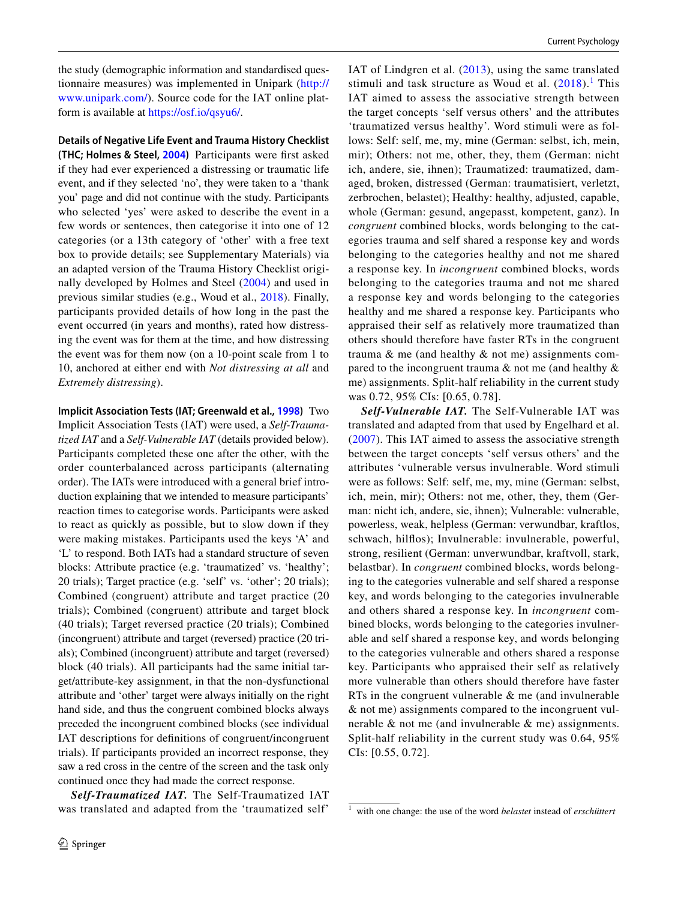the study (demographic information and standardised questionnaire measures) was implemented in Unipark [\(http://](http://www.unipark.com/) [www.unipark.com/\)](http://www.unipark.com/). Source code for the IAT online platform is available at<https://osf.io/qsyu6/>.

**Details of Negative Life Event and Trauma History Checklist (THC; Holmes & Steel, [2004](#page-10-18))** Participants were frst asked if they had ever experienced a distressing or traumatic life event, and if they selected 'no', they were taken to a 'thank you' page and did not continue with the study. Participants who selected 'yes' were asked to describe the event in a few words or sentences, then categorise it into one of 12 categories (or a 13th category of 'other' with a free text box to provide details; see Supplementary Materials) via an adapted version of the Trauma History Checklist originally developed by Holmes and Steel ([2004](#page-10-18)) and used in previous similar studies (e.g., Woud et al., [2018](#page-10-6)). Finally, participants provided details of how long in the past the event occurred (in years and months), rated how distressing the event was for them at the time, and how distressing the event was for them now (on a 10-point scale from 1 to 10, anchored at either end with *Not distressing at all* and *Extremely distressing*).

**Implicit Association Tests (IAT; Greenwald et al., [1998\)](#page-10-13)** Two Implicit Association Tests (IAT) were used, a *Self-Traumatized IAT* and a *Self-Vulnerable IAT* (details provided below). Participants completed these one after the other, with the order counterbalanced across participants (alternating order). The IATs were introduced with a general brief introduction explaining that we intended to measure participants' reaction times to categorise words. Participants were asked to react as quickly as possible, but to slow down if they were making mistakes. Participants used the keys 'A' and 'L' to respond. Both IATs had a standard structure of seven blocks: Attribute practice (e.g. 'traumatized' vs. 'healthy'; 20 trials); Target practice (e.g. 'self' vs. 'other'; 20 trials); Combined (congruent) attribute and target practice (20 trials); Combined (congruent) attribute and target block (40 trials); Target reversed practice (20 trials); Combined (incongruent) attribute and target (reversed) practice (20 trials); Combined (incongruent) attribute and target (reversed) block (40 trials). All participants had the same initial target/attribute-key assignment, in that the non-dysfunctional attribute and 'other' target were always initially on the right hand side, and thus the congruent combined blocks always preceded the incongruent combined blocks (see individual IAT descriptions for defnitions of congruent/incongruent trials). If participants provided an incorrect response, they saw a red cross in the centre of the screen and the task only continued once they had made the correct response.

*Self-Traumatized IAT.* The Self-Traumatized IAT was translated and adapted from the 'traumatized self'

IAT of Lindgren et al. ([2013\)](#page-10-15), using the same translated stimuli and task structure as Woud et al.  $(2018).$  $(2018).$  $(2018).$ <sup>[1](#page-3-0)</sup> This IAT aimed to assess the associative strength between the target concepts 'self versus others' and the attributes 'traumatized versus healthy'. Word stimuli were as follows: Self: self, me, my, mine (German: selbst, ich, mein, mir); Others: not me, other, they, them (German: nicht ich, andere, sie, ihnen); Traumatized: traumatized, damaged, broken, distressed (German: traumatisiert, verletzt, zerbrochen, belastet); Healthy: healthy, adjusted, capable, whole (German: gesund, angepasst, kompetent, ganz). In *congruent* combined blocks, words belonging to the categories trauma and self shared a response key and words belonging to the categories healthy and not me shared a response key. In *incongruent* combined blocks, words belonging to the categories trauma and not me shared a response key and words belonging to the categories healthy and me shared a response key. Participants who appraised their self as relatively more traumatized than others should therefore have faster RTs in the congruent trauma & me (and healthy & not me) assignments compared to the incongruent trauma & not me (and healthy & me) assignments. Split-half reliability in the current study was 0.72, 95% CIs: [0.65, 0.78].

*Self-Vulnerable IAT.* The Self-Vulnerable IAT was translated and adapted from that used by Engelhard et al. ([2007](#page-9-7)). This IAT aimed to assess the associative strength between the target concepts 'self versus others' and the attributes 'vulnerable versus invulnerable. Word stimuli were as follows: Self: self, me, my, mine (German: selbst, ich, mein, mir); Others: not me, other, they, them (German: nicht ich, andere, sie, ihnen); Vulnerable: vulnerable, powerless, weak, helpless (German: verwundbar, kraftlos, schwach, hilfos); Invulnerable: invulnerable, powerful, strong, resilient (German: unverwundbar, kraftvoll, stark, belastbar). In *congruent* combined blocks, words belonging to the categories vulnerable and self shared a response key, and words belonging to the categories invulnerable and others shared a response key. In *incongruent* combined blocks, words belonging to the categories invulnerable and self shared a response key, and words belonging to the categories vulnerable and others shared a response key. Participants who appraised their self as relatively more vulnerable than others should therefore have faster RTs in the congruent vulnerable & me (and invulnerable & not me) assignments compared to the incongruent vulnerable & not me (and invulnerable & me) assignments. Split-half reliability in the current study was 0.64, 95% CIs: [0.55, 0.72].

<span id="page-3-0"></span><sup>1</sup> with one change: the use of the word *belastet* instead of *erschüttert*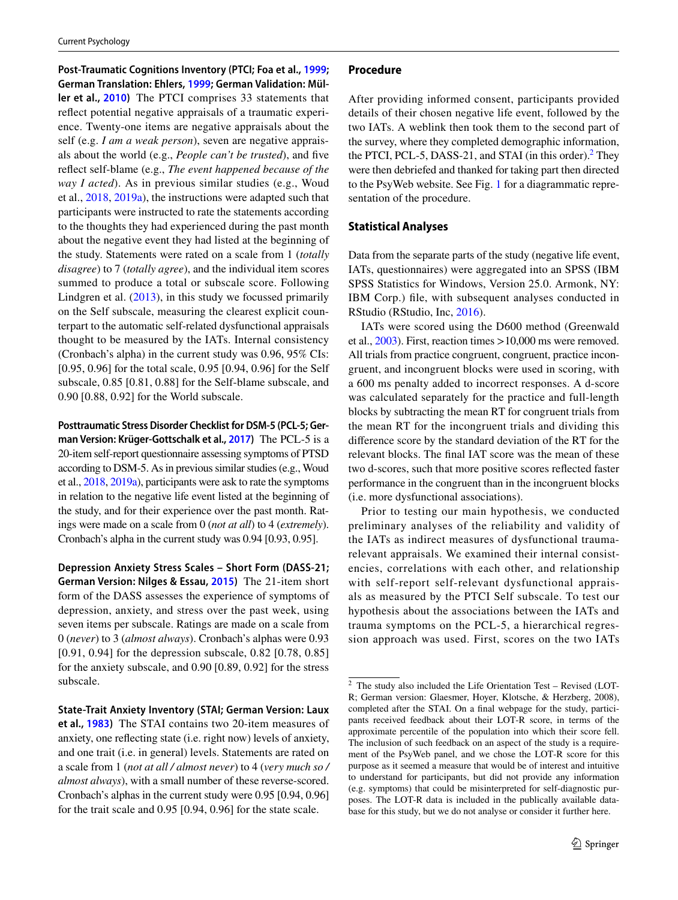**Post-Traumatic Cognitions Inventory (PTCI; Foa et al., [1999;](#page-9-12) German Translation: Ehlers, [1999](#page-9-13); German Validation: Müller et al., [2010](#page-10-19))** The PTCI comprises 33 statements that refect potential negative appraisals of a traumatic experience. Twenty-one items are negative appraisals about the self (e.g. *I am a weak person*), seven are negative appraisals about the world (e.g., *People can't be trusted*), and fve refect self-blame (e.g., *The event happened because of the way I acted*). As in previous similar studies (e.g., Woud et al., [2018](#page-10-6), [2019a](#page-10-17)), the instructions were adapted such that participants were instructed to rate the statements according to the thoughts they had experienced during the past month about the negative event they had listed at the beginning of the study. Statements were rated on a scale from 1 (*totally disagree*) to 7 (*totally agree*), and the individual item scores summed to produce a total or subscale score. Following Lindgren et al. [\(2013](#page-10-15)), in this study we focussed primarily on the Self subscale, measuring the clearest explicit counterpart to the automatic self-related dysfunctional appraisals thought to be measured by the IATs. Internal consistency (Cronbach's alpha) in the current study was 0.96, 95% CIs: [0.95, 0.96] for the total scale, 0.95 [0.94, 0.96] for the Self subscale, 0.85 [0.81, 0.88] for the Self-blame subscale, and 0.90 [0.88, 0.92] for the World subscale.

**Posttraumatic Stress Disorder Checklist for DSM-5 (PCL-5; German Version: Krüger-Gottschalk et al., [2017](#page-10-20))** The PCL-5 is a 20-item self-report questionnaire assessing symptoms of PTSD according to DSM-5. As in previous similar studies (e.g., Woud et al., [2018,](#page-10-6) [2019a](#page-10-17)), participants were ask to rate the symptoms in relation to the negative life event listed at the beginning of the study, and for their experience over the past month. Ratings were made on a scale from 0 (*not at all*) to 4 (*extremely*). Cronbach's alpha in the current study was 0.94 [0.93, 0.95].

**Depression Anxiety Stress Scales – Short Form (DASS-21; German Version: Nilges & Essau, [2015\)](#page-10-21)** The 21-item short form of the DASS assesses the experience of symptoms of depression, anxiety, and stress over the past week, using seven items per subscale. Ratings are made on a scale from 0 (*never*) to 3 (*almost always*). Cronbach's alphas were 0.93 [0.91, 0.94] for the depression subscale, 0.82 [0.78, 0.85] for the anxiety subscale, and 0.90 [0.89, 0.92] for the stress subscale.

**State-Trait Anxiety Inventory (STAI; German Version: Laux et al., [1983](#page-10-22))** The STAI contains two 20-item measures of anxiety, one refecting state (i.e. right now) levels of anxiety, and one trait (i.e. in general) levels. Statements are rated on a scale from 1 (*not at all / almost never*) to 4 (*very much so / almost always*), with a small number of these reverse-scored. Cronbach's alphas in the current study were 0.95 [0.94, 0.96] for the trait scale and 0.95 [0.94, 0.96] for the state scale.

#### **Procedure**

After providing informed consent, participants provided details of their chosen negative life event, followed by the two IATs. A weblink then took them to the second part of the survey, where they completed demographic information, the PTCI, PCL-5, DASS-21, and STAI (in this order). $<sup>2</sup>$  They</sup> were then debriefed and thanked for taking part then directed to the PsyWeb website. See Fig. [1](#page-5-0) for a diagrammatic representation of the procedure.

# **Statistical Analyses**

Data from the separate parts of the study (negative life event, IATs, questionnaires) were aggregated into an SPSS (IBM SPSS Statistics for Windows, Version 25.0. Armonk, NY: IBM Corp.) fle, with subsequent analyses conducted in RStudio (RStudio, Inc, [2016](#page-10-23)).

IATs were scored using the D600 method (Greenwald et al., [2003](#page-10-24)). First, reaction times >10,000 ms were removed. All trials from practice congruent, congruent, practice incongruent, and incongruent blocks were used in scoring, with a 600 ms penalty added to incorrect responses. A d-score was calculated separately for the practice and full-length blocks by subtracting the mean RT for congruent trials from the mean RT for the incongruent trials and dividing this diference score by the standard deviation of the RT for the relevant blocks. The fnal IAT score was the mean of these two d-scores, such that more positive scores refected faster performance in the congruent than in the incongruent blocks (i.e. more dysfunctional associations).

Prior to testing our main hypothesis, we conducted preliminary analyses of the reliability and validity of the IATs as indirect measures of dysfunctional traumarelevant appraisals. We examined their internal consistencies, correlations with each other, and relationship with self-report self-relevant dysfunctional appraisals as measured by the PTCI Self subscale. To test our hypothesis about the associations between the IATs and trauma symptoms on the PCL-5, a hierarchical regression approach was used. First, scores on the two IATs

<span id="page-4-0"></span><sup>2</sup> The study also included the Life Orientation Test – Revised (LOT-R; German version: Glaesmer, Hoyer, Klotsche, & Herzberg, 2008), completed after the STAI. On a fnal webpage for the study, participants received feedback about their LOT-R score, in terms of the approximate percentile of the population into which their score fell. The inclusion of such feedback on an aspect of the study is a requirement of the PsyWeb panel, and we chose the LOT-R score for this purpose as it seemed a measure that would be of interest and intuitive to understand for participants, but did not provide any information (e.g. symptoms) that could be misinterpreted for self-diagnostic purposes. The LOT-R data is included in the publically available database for this study, but we do not analyse or consider it further here.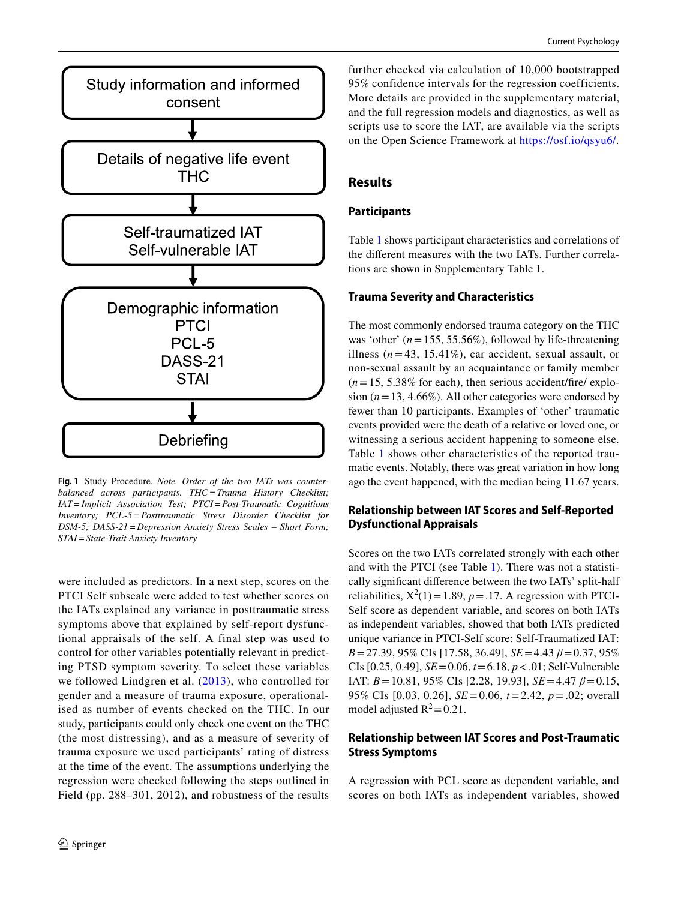

<span id="page-5-0"></span>**Fig. 1** Study Procedure. *Note. Order of the two IATs was counterbalanced across participants. THC=Trauma History Checklist; IAT=Implicit Association Test; PTCI=Post-Traumatic Cognitions Inventory; PCL-5=Posttraumatic Stress Disorder Checklist for DSM-5; DASS-21=Depression Anxiety Stress Scales – Short Form; STAI=State-Trait Anxiety Inventory*

were included as predictors. In a next step, scores on the PTCI Self subscale were added to test whether scores on the IATs explained any variance in posttraumatic stress symptoms above that explained by self-report dysfunctional appraisals of the self. A final step was used to control for other variables potentially relevant in predicting PTSD symptom severity. To select these variables we followed Lindgren et al. ([2013](#page-10-15)), who controlled for gender and a measure of trauma exposure, operationalised as number of events checked on the THC. In our study, participants could only check one event on the THC (the most distressing), and as a measure of severity of trauma exposure we used participants' rating of distress at the time of the event. The assumptions underlying the regression were checked following the steps outlined in Field (pp. 288–301, 2012), and robustness of the results

further checked via calculation of 10,000 bootstrapped 95% confidence intervals for the regression coefficients. More details are provided in the supplementary material, and the full regression models and diagnostics, as well as scripts use to score the IAT, are available via the scripts on the Open Science Framework at<https://osf.io/qsyu6/>.

## **Results**

#### **Participants**

Table [1](#page-6-0) shows participant characteristics and correlations of the diferent measures with the two IATs. Further correlations are shown in Supplementary Table 1.

#### **Trauma Severity and Characteristics**

The most commonly endorsed trauma category on the THC was 'other' (*n*=155, 55.56%), followed by life-threatening illness  $(n=43, 15.41\%)$ , car accident, sexual assault, or non-sexual assault by an acquaintance or family member  $(n=15, 5.38\%$  for each), then serious accident/fire/ explosion  $(n=13, 4.66\%)$ . All other categories were endorsed by fewer than 10 participants. Examples of 'other' traumatic events provided were the death of a relative or loved one, or witnessing a serious accident happening to someone else. Table [1](#page-6-0) shows other characteristics of the reported traumatic events. Notably, there was great variation in how long ago the event happened, with the median being 11.67 years.

#### **Relationship between IAT Scores and Self‑Reported Dysfunctional Appraisals**

Scores on the two IATs correlated strongly with each other and with the PTCI (see Table [1](#page-6-0)). There was not a statistically signifcant diference between the two IATs' split-half reliabilities,  $X^2(1) = 1.89$ ,  $p = .17$ . A regression with PTCI-Self score as dependent variable, and scores on both IATs as independent variables, showed that both IATs predicted unique variance in PTCI-Self score: Self-Traumatized IAT: *B*=27.39, 95% CIs [17.58, 36.49], *SE*=4.43 *β*=0.37, 95% CIs [0.25, 0.49], *SE*=0.06, *t*=6.18, *p*<.01; Self-Vulnerable IAT: *B*=10.81, 95% CIs [2.28, 19.93], *SE*=4.47 *β*=0.15, 95% CIs [0.03, 0.26], *SE*=0.06, *t*=2.42, *p*=.02; overall model adjusted  $R^2$  = 0.21.

# **Relationship between IAT Scores and Post‑Traumatic Stress Symptoms**

A regression with PCL score as dependent variable, and scores on both IATs as independent variables, showed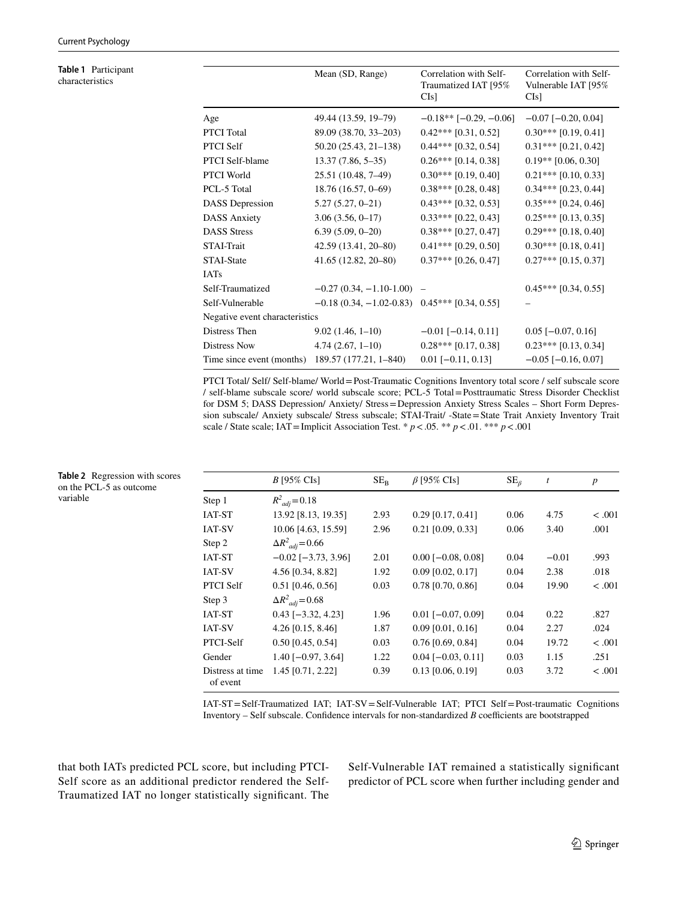<span id="page-6-0"></span>**Table 1** Participant characteristics

<span id="page-6-1"></span>**Table 2** Regression with scores on the PCL-5 as outcome

variable

|                                | Mean (SD, Range)                                 | Correlation with Self-<br>Traumatized IAT [95%<br>Cls] | Correlation with Self-<br>Vulnerable IAT [95%<br>C[s] |
|--------------------------------|--------------------------------------------------|--------------------------------------------------------|-------------------------------------------------------|
| Age                            | 49.44 (13.59, 19-79)                             | $-0.18**$ [ $-0.29, -0.06$ ]                           | $-0.07$ [ $-0.20, 0.04$ ]                             |
| PTCI Total                     | 89.09 (38.70, 33-203)                            | $0.42***$ [0.31, 0.52]                                 | $0.30***$ [0.19, 0.41]                                |
| PTCI Self                      | 50.20 (25.43, 21-138)                            | $0.44***$ [0.32, 0.54]                                 | $0.31***$ [0.21, 0.42]                                |
| PTCI Self-blame                | $13.37(7.86, 5-35)$                              | $0.26***$ [0.14, 0.38]                                 | $0.19**$ [0.06, 0.30]                                 |
| PTCI World                     | 25.51 (10.48, 7-49)                              | $0.30***$ [0.19, 0.40]                                 | $0.21***$ [0.10, 0.33]                                |
| PCL-5 Total                    | 18.76 (16.57, 0-69)                              | $0.38***$ [0.28, 0.48]                                 | $0.34***$ [0.23, 0.44]                                |
| <b>DASS</b> Depression         | $5.27(5.27, 0-21)$                               | $0.43***$ [0.32, 0.53]                                 | $0.35***$ [0.24, 0.46]                                |
| <b>DASS Anxiety</b>            | $3.06(3.56, 0-17)$                               | $0.33***$ [0.22, 0.43]                                 | $0.25***$ [0.13, 0.35]                                |
| <b>DASS Stress</b>             | $6.39(5.09, 0-20)$                               | $0.38***$ [0.27, 0.47]                                 | $0.29***$ [0.18, 0.40]                                |
| STAI-Trait                     | 42.59 (13.41, 20-80)                             | $0.41***$ [0.29, 0.50]                                 | $0.30***$ [0.18, 0.41]                                |
| STAI-State                     | $41.65(12.82, 20-80)$                            | $0.37***$ [0.26, 0.47]                                 | $0.27***$ [0.15, 0.37]                                |
| IATs                           |                                                  |                                                        |                                                       |
| Self-Traumatized               | $-0.27(0.34, -1.10-1.00)$ -                      |                                                        | $0.45***$ [0.34, 0.55]                                |
| Self-Vulnerable                | $-0.18(0.34, -1.02-0.83)$ $0.45***$ [0.34, 0.55] |                                                        |                                                       |
| Negative event characteristics |                                                  |                                                        |                                                       |
| Distress Then                  | $9.02(1.46, 1-10)$                               | $-0.01$ [ $-0.14$ , 0.11]                              | $0.05$ [-0.07, 0.16]                                  |
| Distress Now                   | $4.74(2.67, 1-10)$                               | $0.28***$ [0.17, 0.38]                                 | $0.23***$ [0.13, 0.34]                                |
| Time since event (months)      | 189.57 (177.21, 1-840)                           | $0.01$ [-0.11, 0.13]                                   | $-0.05$ [ $-0.16$ , 0.07]                             |
|                                |                                                  |                                                        |                                                       |

PTCI Total/ Self/ Self-blame/ World=Post-Traumatic Cognitions Inventory total score / self subscale score / self-blame subscale score/ world subscale score; PCL-5 Total=Posttraumatic Stress Disorder Checklist for DSM 5; DASS Depression/ Anxiety/ Stress=Depression Anxiety Stress Scales – Short Form Depression subscale/ Anxiety subscale/ Stress subscale; STAI-Trait/ -State=State Trait Anxiety Inventory Trait scale / State scale; IAT=Implicit Association Test. \*  $p < .05$ . \*\*  $p < .01$ . \*\*\*  $p < .001$ 

|                              | $B$ [95% CIs]             | $SE_R$ | $\beta$ [95% CIs]           | $SE_{\beta}$ | $\boldsymbol{t}$ | $\boldsymbol{p}$ |
|------------------------------|---------------------------|--------|-----------------------------|--------------|------------------|------------------|
| Step 1                       | $R^2_{adi} = 0.18$        |        |                             |              |                  |                  |
| <b>IAT-ST</b>                | 13.92 [8.13, 19.35]       | 2.93   | $0.29$ [0.17, 0.41]         | 0.06         | 4.75             | < 0.001          |
| <b>IAT-SV</b>                | 10.06 [4.63, 15.59]       | 2.96   | $0.21$ [0.09, 0.33]         | 0.06         | 3.40             | .001             |
| Step 2                       | $\Delta R^2_{adi} = 0.66$ |        |                             |              |                  |                  |
| <b>IAT-ST</b>                | $-0.02$ [ $-3.73$ , 3.96] | 2.01   | $0.00$ [ $-0.08$ , $0.08$ ] | 0.04         | $-0.01$          | .993             |
| <b>IAT-SV</b>                | 4.56 [0.34, 8.82]         | 1.92   | $0.09$ [0.02, 0.17]         | 0.04         | 2.38             | .018             |
| <b>PTCI Self</b>             | $0.51$ [0.46, 0.56]       | 0.03   | $0.78$ [0.70, 0.86]         | 0.04         | 19.90            | $-.001$          |
| Step 3                       | $\Delta R^2_{adi} = 0.68$ |        |                             |              |                  |                  |
| <b>IAT-ST</b>                | $0.43$ [-3.32, 4.23]      | 1.96   | $0.01$ [ $-0.07, 0.09$ ]    | 0.04         | 0.22             | .827             |
| <b>IAT-SV</b>                | 4.26 [0.15, 8.46]         | 1.87   | $0.09$ [0.01, 0.16]         | 0.04         | 2.27             | .024             |
| PTCI-Self                    | $0.50$ [0.45, 0.54]       | 0.03   | $0.76$ [0.69, 0.84]         | 0.04         | 19.72            | < 0.001          |
| Gender                       | $1.40$ [ $-0.97, 3.64$ ]  | 1.22   | $0.04$ [-0.03, 0.11]        | 0.03         | 1.15             | .251             |
| Distress at time<br>of event | 1.45 [0.71, 2.22]         | 0.39   | $0.13$ [0.06, 0.19]         | 0.03         | 3.72             | < 0.001          |

IAT-ST=Self-Traumatized IAT; IAT-SV=Self-Vulnerable IAT; PTCI Self=Post-traumatic Cognitions Inventory  $-$  Self subscale. Confidence intervals for non-standardized *B* coefficients are bootstrapped

that both IATs predicted PCL score, but including PTCI-Self score as an additional predictor rendered the Self-Traumatized IAT no longer statistically signifcant. The Self-Vulnerable IAT remained a statistically signifcant predictor of PCL score when further including gender and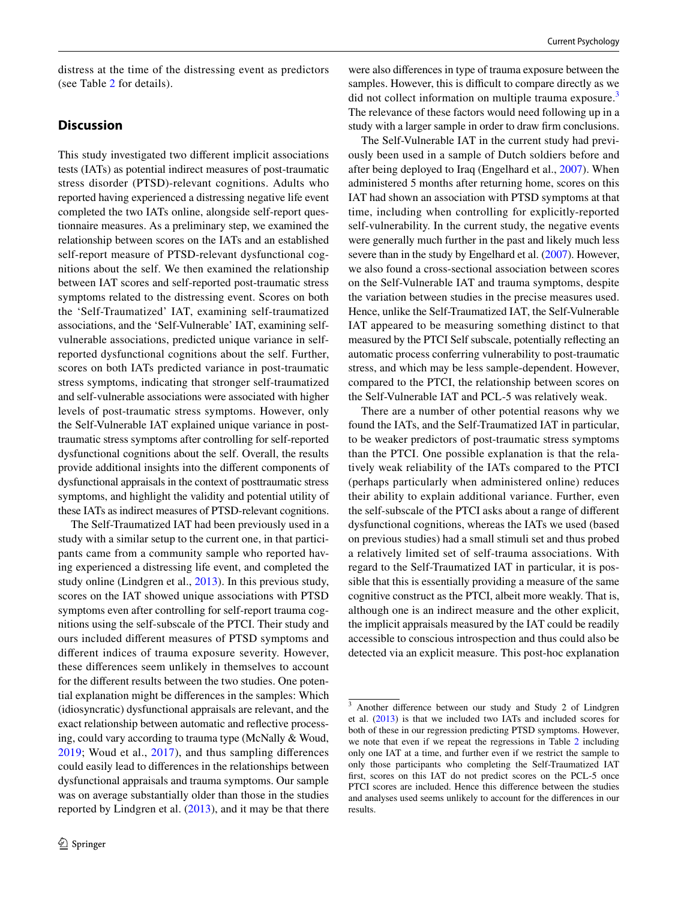distress at the time of the distressing event as predictors (see Table [2](#page-6-1) for details).

## **Discussion**

This study investigated two diferent implicit associations tests (IATs) as potential indirect measures of post-traumatic stress disorder (PTSD)-relevant cognitions. Adults who reported having experienced a distressing negative life event completed the two IATs online, alongside self-report questionnaire measures. As a preliminary step, we examined the relationship between scores on the IATs and an established self-report measure of PTSD-relevant dysfunctional cognitions about the self. We then examined the relationship between IAT scores and self-reported post-traumatic stress symptoms related to the distressing event. Scores on both the 'Self-Traumatized' IAT, examining self-traumatized associations, and the 'Self-Vulnerable' IAT, examining selfvulnerable associations, predicted unique variance in selfreported dysfunctional cognitions about the self. Further, scores on both IATs predicted variance in post-traumatic stress symptoms, indicating that stronger self-traumatized and self-vulnerable associations were associated with higher levels of post-traumatic stress symptoms. However, only the Self-Vulnerable IAT explained unique variance in posttraumatic stress symptoms after controlling for self-reported dysfunctional cognitions about the self. Overall, the results provide additional insights into the diferent components of dysfunctional appraisals in the context of posttraumatic stress symptoms, and highlight the validity and potential utility of these IATs as indirect measures of PTSD-relevant cognitions.

The Self-Traumatized IAT had been previously used in a study with a similar setup to the current one, in that participants came from a community sample who reported having experienced a distressing life event, and completed the study online (Lindgren et al., [2013](#page-10-15)). In this previous study, scores on the IAT showed unique associations with PTSD symptoms even after controlling for self-report trauma cognitions using the self-subscale of the PTCI. Their study and ours included diferent measures of PTSD symptoms and diferent indices of trauma exposure severity. However, these diferences seem unlikely in themselves to account for the diferent results between the two studies. One potential explanation might be diferences in the samples: Which (idiosyncratic) dysfunctional appraisals are relevant, and the exact relationship between automatic and refective processing, could vary according to trauma type (McNally & Woud, [2019;](#page-10-1) Woud et al., [2017\)](#page-10-11), and thus sampling diferences could easily lead to diferences in the relationships between dysfunctional appraisals and trauma symptoms. Our sample was on average substantially older than those in the studies reported by Lindgren et al. [\(2013](#page-10-15)), and it may be that there

were also diferences in type of trauma exposure between the samples. However, this is difficult to compare directly as we did not collect information on multiple trauma exposure.<sup>[3](#page-7-0)</sup> The relevance of these factors would need following up in a study with a larger sample in order to draw frm conclusions.

The Self-Vulnerable IAT in the current study had previously been used in a sample of Dutch soldiers before and after being deployed to Iraq (Engelhard et al., [2007\)](#page-9-7). When administered 5 months after returning home, scores on this IAT had shown an association with PTSD symptoms at that time, including when controlling for explicitly-reported self-vulnerability. In the current study, the negative events were generally much further in the past and likely much less severe than in the study by Engelhard et al. [\(2007\)](#page-9-7). However, we also found a cross-sectional association between scores on the Self-Vulnerable IAT and trauma symptoms, despite the variation between studies in the precise measures used. Hence, unlike the Self-Traumatized IAT, the Self-Vulnerable IAT appeared to be measuring something distinct to that measured by the PTCI Self subscale, potentially refecting an automatic process conferring vulnerability to post-traumatic stress, and which may be less sample-dependent. However, compared to the PTCI, the relationship between scores on the Self-Vulnerable IAT and PCL-5 was relatively weak.

There are a number of other potential reasons why we found the IATs, and the Self-Traumatized IAT in particular, to be weaker predictors of post-traumatic stress symptoms than the PTCI. One possible explanation is that the relatively weak reliability of the IATs compared to the PTCI (perhaps particularly when administered online) reduces their ability to explain additional variance. Further, even the self-subscale of the PTCI asks about a range of diferent dysfunctional cognitions, whereas the IATs we used (based on previous studies) had a small stimuli set and thus probed a relatively limited set of self-trauma associations. With regard to the Self-Traumatized IAT in particular, it is possible that this is essentially providing a measure of the same cognitive construct as the PTCI, albeit more weakly. That is, although one is an indirect measure and the other explicit, the implicit appraisals measured by the IAT could be readily accessible to conscious introspection and thus could also be detected via an explicit measure. This post-hoc explanation

<span id="page-7-0"></span><sup>&</sup>lt;sup>3</sup> Another difference between our study and Study 2 of Lindgren et al. [\(2013](#page-10-15)) is that we included two IATs and included scores for both of these in our regression predicting PTSD symptoms. However, we note that even if we repeat the regressions in Table [2](#page-6-1) including only one IAT at a time, and further even if we restrict the sample to only those participants who completing the Self-Traumatized IAT frst, scores on this IAT do not predict scores on the PCL-5 once PTCI scores are included. Hence this diference between the studies and analyses used seems unlikely to account for the diferences in our results.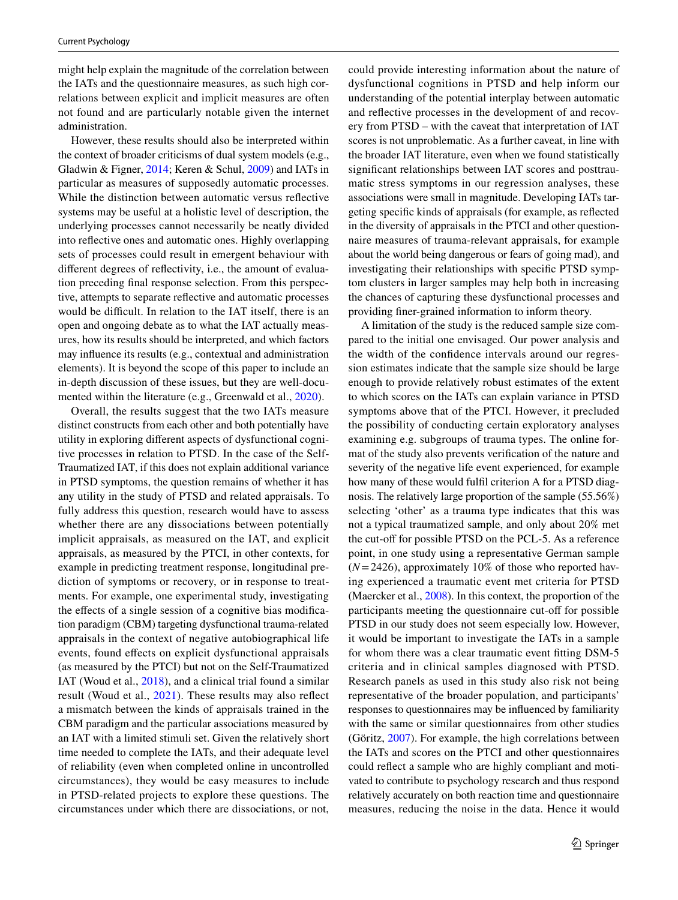might help explain the magnitude of the correlation between the IATs and the questionnaire measures, as such high correlations between explicit and implicit measures are often not found and are particularly notable given the internet administration.

However, these results should also be interpreted within the context of broader criticisms of dual system models (e.g., Gladwin & Figner, [2014](#page-9-6); Keren & Schul, [2009](#page-10-10)) and IATs in particular as measures of supposedly automatic processes. While the distinction between automatic versus refective systems may be useful at a holistic level of description, the underlying processes cannot necessarily be neatly divided into refective ones and automatic ones. Highly overlapping sets of processes could result in emergent behaviour with diferent degrees of refectivity, i.e., the amount of evaluation preceding fnal response selection. From this perspective, attempts to separate refective and automatic processes would be difficult. In relation to the IAT itself, there is an open and ongoing debate as to what the IAT actually measures, how its results should be interpreted, and which factors may infuence its results (e.g., contextual and administration elements). It is beyond the scope of this paper to include an in-depth discussion of these issues, but they are well-documented within the literature (e.g., Greenwald et al., [2020](#page-10-14)).

Overall, the results suggest that the two IATs measure distinct constructs from each other and both potentially have utility in exploring diferent aspects of dysfunctional cognitive processes in relation to PTSD. In the case of the Self-Traumatized IAT, if this does not explain additional variance in PTSD symptoms, the question remains of whether it has any utility in the study of PTSD and related appraisals. To fully address this question, research would have to assess whether there are any dissociations between potentially implicit appraisals, as measured on the IAT, and explicit appraisals, as measured by the PTCI, in other contexts, for example in predicting treatment response, longitudinal prediction of symptoms or recovery, or in response to treatments. For example, one experimental study, investigating the effects of a single session of a cognitive bias modification paradigm (CBM) targeting dysfunctional trauma-related appraisals in the context of negative autobiographical life events, found efects on explicit dysfunctional appraisals (as measured by the PTCI) but not on the Self-Traumatized IAT (Woud et al., [2018](#page-10-6)), and a clinical trial found a similar result (Woud et al., [2021\)](#page-10-7). These results may also refect a mismatch between the kinds of appraisals trained in the CBM paradigm and the particular associations measured by an IAT with a limited stimuli set. Given the relatively short time needed to complete the IATs, and their adequate level of reliability (even when completed online in uncontrolled circumstances), they would be easy measures to include in PTSD-related projects to explore these questions. The circumstances under which there are dissociations, or not,

could provide interesting information about the nature of dysfunctional cognitions in PTSD and help inform our understanding of the potential interplay between automatic and refective processes in the development of and recovery from PTSD – with the caveat that interpretation of IAT scores is not unproblematic. As a further caveat, in line with the broader IAT literature, even when we found statistically signifcant relationships between IAT scores and posttraumatic stress symptoms in our regression analyses, these associations were small in magnitude. Developing IATs targeting specifc kinds of appraisals (for example, as refected in the diversity of appraisals in the PTCI and other questionnaire measures of trauma-relevant appraisals, for example about the world being dangerous or fears of going mad), and investigating their relationships with specifc PTSD symptom clusters in larger samples may help both in increasing the chances of capturing these dysfunctional processes and providing fner-grained information to inform theory.

A limitation of the study is the reduced sample size compared to the initial one envisaged. Our power analysis and the width of the confdence intervals around our regression estimates indicate that the sample size should be large enough to provide relatively robust estimates of the extent to which scores on the IATs can explain variance in PTSD symptoms above that of the PTCI. However, it precluded the possibility of conducting certain exploratory analyses examining e.g. subgroups of trauma types. The online format of the study also prevents verifcation of the nature and severity of the negative life event experienced, for example how many of these would fulfil criterion A for a PTSD diagnosis. The relatively large proportion of the sample (55.56%) selecting 'other' as a trauma type indicates that this was not a typical traumatized sample, and only about 20% met the cut-off for possible PTSD on the PCL-5. As a reference point, in one study using a representative German sample (*N*=2426), approximately 10% of those who reported having experienced a traumatic event met criteria for PTSD (Maercker et al., [2008](#page-10-25)). In this context, the proportion of the participants meeting the questionnaire cut-off for possible PTSD in our study does not seem especially low. However, it would be important to investigate the IATs in a sample for whom there was a clear traumatic event ftting DSM-5 criteria and in clinical samples diagnosed with PTSD. Research panels as used in this study also risk not being representative of the broader population, and participants' responses to questionnaires may be infuenced by familiarity with the same or similar questionnaires from other studies (Göritz, [2007\)](#page-10-26). For example, the high correlations between the IATs and scores on the PTCI and other questionnaires could refect a sample who are highly compliant and motivated to contribute to psychology research and thus respond relatively accurately on both reaction time and questionnaire measures, reducing the noise in the data. Hence it would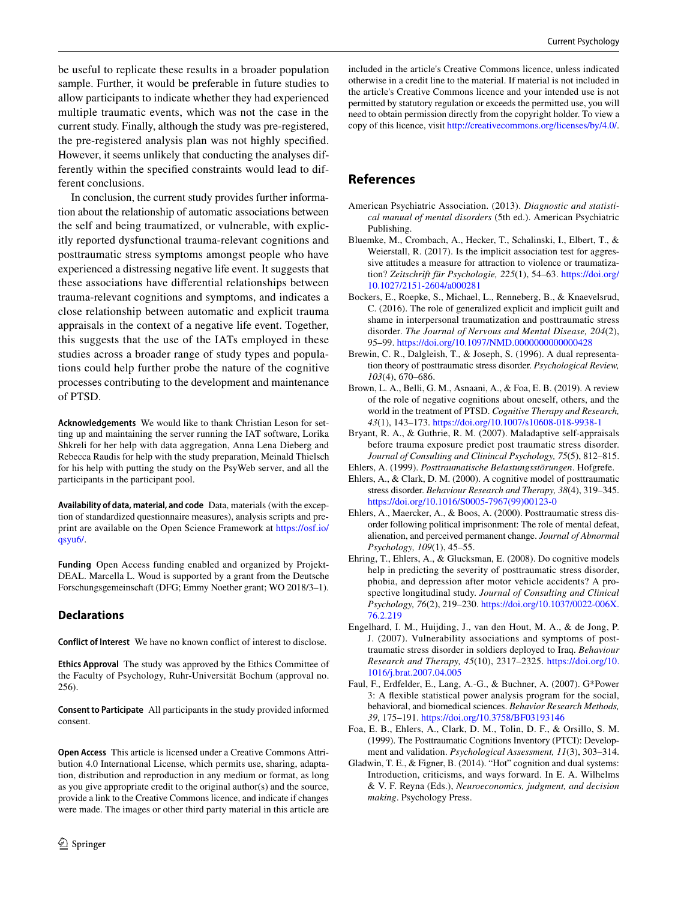be useful to replicate these results in a broader population sample. Further, it would be preferable in future studies to allow participants to indicate whether they had experienced multiple traumatic events, which was not the case in the current study. Finally, although the study was pre-registered, the pre-registered analysis plan was not highly specifed. However, it seems unlikely that conducting the analyses differently within the specifed constraints would lead to different conclusions.

In conclusion, the current study provides further information about the relationship of automatic associations between the self and being traumatized, or vulnerable, with explicitly reported dysfunctional trauma-relevant cognitions and posttraumatic stress symptoms amongst people who have experienced a distressing negative life event. It suggests that these associations have diferential relationships between trauma-relevant cognitions and symptoms, and indicates a close relationship between automatic and explicit trauma appraisals in the context of a negative life event. Together, this suggests that the use of the IATs employed in these studies across a broader range of study types and populations could help further probe the nature of the cognitive processes contributing to the development and maintenance of PTSD.

**Acknowledgements** We would like to thank Christian Leson for setting up and maintaining the server running the IAT software, Lorika Shkreli for her help with data aggregation, Anna Lena Dieberg and Rebecca Raudis for help with the study preparation, Meinald Thielsch for his help with putting the study on the PsyWeb server, and all the participants in the participant pool.

**Availability of data, material, and code** Data, materials (with the exception of standardized questionnaire measures), analysis scripts and preprint are available on the Open Science Framework at [https://osf.io/](https://osf.io/qsyu6/) [qsyu6/.](https://osf.io/qsyu6/)

**Funding** Open Access funding enabled and organized by Projekt-DEAL. Marcella L. Woud is supported by a grant from the Deutsche Forschungsgemeinschaft (DFG; Emmy Noether grant; WO 2018/3–1).

## **Declarations**

**Conflict of Interest** We have no known confict of interest to disclose.

**Ethics Approval** The study was approved by the Ethics Committee of the Faculty of Psychology, Ruhr-Universität Bochum (approval no. 256).

**Consent to Participate** All participants in the study provided informed consent.

**Open Access** This article is licensed under a Creative Commons Attribution 4.0 International License, which permits use, sharing, adaptation, distribution and reproduction in any medium or format, as long as you give appropriate credit to the original author(s) and the source, provide a link to the Creative Commons licence, and indicate if changes were made. The images or other third party material in this article are

included in the article's Creative Commons licence, unless indicated otherwise in a credit line to the material. If material is not included in the article's Creative Commons licence and your intended use is not permitted by statutory regulation or exceeds the permitted use, you will need to obtain permission directly from the copyright holder. To view a copy of this licence, visit<http://creativecommons.org/licenses/by/4.0/>.

# **References**

- <span id="page-9-0"></span>American Psychiatric Association. (2013). *Diagnostic and statistical manual of mental disorders* (5th ed.). American Psychiatric Publishing.
- <span id="page-9-9"></span>Bluemke, M., Crombach, A., Hecker, T., Schalinski, I., Elbert, T., & Weierstall, R. (2017). Is the implicit association test for aggressive attitudes a measure for attraction to violence or traumatization? *Zeitschrift für Psychologie, 225*(1), 54–63. [https://doi.org/](https://doi.org/10.1027/2151-2604/a000281) [10.1027/2151-2604/a000281](https://doi.org/10.1027/2151-2604/a000281)
- <span id="page-9-10"></span>Bockers, E., Roepke, S., Michael, L., Renneberg, B., & Knaevelsrud, C. (2016). The role of generalized explicit and implicit guilt and shame in interpersonal traumatization and posttraumatic stress disorder. *The Journal of Nervous and Mental Disease, 204*(2), 95–99. <https://doi.org/10.1097/NMD.0000000000000428>
- <span id="page-9-2"></span>Brewin, C. R., Dalgleish, T., & Joseph, S. (1996). A dual representation theory of posttraumatic stress disorder. *Psychological Review, 103*(4), 670–686.
- <span id="page-9-1"></span>Brown, L. A., Belli, G. M., Asnaani, A., & Foa, E. B. (2019). A review of the role of negative cognitions about oneself, others, and the world in the treatment of PTSD. *Cognitive Therapy and Research, 43*(1), 143–173.<https://doi.org/10.1007/s10608-018-9938-1>
- <span id="page-9-4"></span>Bryant, R. A., & Guthrie, R. M. (2007). Maladaptive self-appraisals before trauma exposure predict post traumatic stress disorder. *Journal of Consulting and Clinincal Psychology, 75*(5), 812–815.
- <span id="page-9-13"></span><span id="page-9-3"></span>Ehlers, A. (1999). *Posttraumatische Belastungsstörungen*. Hofgrefe. Ehlers, A., & Clark, D. M. (2000). A cognitive model of posttraumatic
- stress disorder. *Behaviour Research and Therapy, 38*(4), 319–345. [https://doi.org/10.1016/S0005-7967\(99\)00123-0](https://doi.org/10.1016/S0005-7967(99)00123-0)
- <span id="page-9-8"></span>Ehlers, A., Maercker, A., & Boos, A. (2000). Posttraumatic stress disorder following political imprisonment: The role of mental defeat, alienation, and perceived permanent change. *Journal of Abnormal Psychology, 109*(1), 45–55.
- <span id="page-9-5"></span>Ehring, T., Ehlers, A., & Glucksman, E. (2008). Do cognitive models help in predicting the severity of posttraumatic stress disorder, phobia, and depression after motor vehicle accidents? A prospective longitudinal study. *Journal of Consulting and Clinical Psychology, 76*(2), 219–230. [https://doi.org/10.1037/0022-006X.](https://doi.org/10.1037/0022-006X.76.2.219) [76.2.219](https://doi.org/10.1037/0022-006X.76.2.219)
- <span id="page-9-7"></span>Engelhard, I. M., Huijding, J., van den Hout, M. A., & de Jong, P. J. (2007). Vulnerability associations and symptoms of posttraumatic stress disorder in soldiers deployed to Iraq. *Behaviour Research and Therapy, 45*(10), 2317–2325. [https://doi.org/10.](https://doi.org/10.1016/j.brat.2007.04.005) [1016/j.brat.2007.04.005](https://doi.org/10.1016/j.brat.2007.04.005)
- <span id="page-9-11"></span>Faul, F., Erdfelder, E., Lang, A.-G., & Buchner, A. (2007). G\*Power 3: A fexible statistical power analysis program for the social, behavioral, and biomedical sciences. *Behavior Research Methods, 39*, 175–191.<https://doi.org/10.3758/BF03193146>
- <span id="page-9-12"></span>Foa, E. B., Ehlers, A., Clark, D. M., Tolin, D. F., & Orsillo, S. M. (1999). The Posttraumatic Cognitions Inventory (PTCI): Development and validation. *Psychological Assessment, 11*(3), 303–314.
- <span id="page-9-6"></span>Gladwin, T. E., & Figner, B. (2014). "Hot" cognition and dual systems: Introduction, criticisms, and ways forward. In E. A. Wilhelms & V. F. Reyna (Eds.), *Neuroeconomics, judgment, and decision making*. Psychology Press.